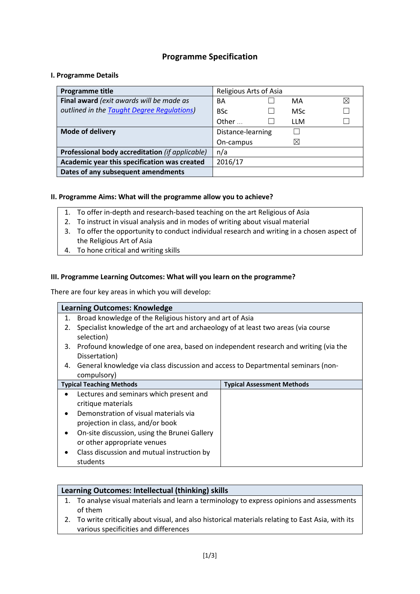# **Programme Specification**

## **I. Programme Details**

| Programme title                                 | Religious Arts of Asia |            |   |
|-------------------------------------------------|------------------------|------------|---|
| Final award (exit awards will be made as        | BA                     | MA         | ⊠ |
| outlined in the Taught Degree Regulations)      | <b>BSc</b>             | <b>MSc</b> |   |
|                                                 | Other                  | LLM        |   |
| <b>Mode of delivery</b>                         | Distance-learning      |            |   |
|                                                 | On-campus              | $\times$   |   |
| Professional body accreditation (if applicable) | n/a                    |            |   |
| Academic year this specification was created    | 2016/17                |            |   |
| Dates of any subsequent amendments              |                        |            |   |

### **II. Programme Aims: What will the programme allow you to achieve?**

- 1. To offer in-depth and research-based teaching on the art Religious of Asia
- 2. To instruct in visual analysis and in modes of writing about visual material
- 3. To offer the opportunity to conduct individual research and writing in a chosen aspect of the Religious Art of Asia
- 4. To hone critical and writing skills

#### **III. Programme Learning Outcomes: What will you learn on the programme?**

There are four key areas in which you will develop:

|    | <b>Learning Outcomes: Knowledge</b>                                                |                                   |
|----|------------------------------------------------------------------------------------|-----------------------------------|
| 1. | Broad knowledge of the Religious history and art of Asia                           |                                   |
| 2. | Specialist knowledge of the art and archaeology of at least two areas (via course  |                                   |
|    | selection)                                                                         |                                   |
| 3. | Profound knowledge of one area, based on independent research and writing (via the |                                   |
|    | Dissertation)                                                                      |                                   |
| 4. | General knowledge via class discussion and access to Departmental seminars (non-   |                                   |
|    | compulsory)                                                                        |                                   |
|    | <b>Typical Teaching Methods</b>                                                    | <b>Typical Assessment Methods</b> |
|    | Lectures and seminars which present and                                            |                                   |
|    | critique materials                                                                 |                                   |
|    | Demonstration of visual materials via                                              |                                   |
|    | projection in class, and/or book                                                   |                                   |
|    | On-site discussion, using the Brunei Gallery                                       |                                   |
|    | or other appropriate venues                                                        |                                   |
|    | Class discussion and mutual instruction by                                         |                                   |
|    | students                                                                           |                                   |

## **Learning Outcomes: Intellectual (thinking) skills**

- 1. To analyse visual materials and learn a terminology to express opinions and assessments of them
- 2. To write critically about visual, and also historical materials relating to East Asia, with its various specificities and differences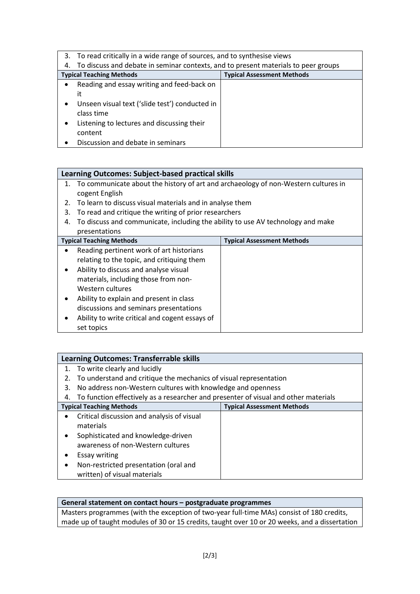|    | 3. To read critically in a wide range of sources, and to synthesise views          |                                   |
|----|------------------------------------------------------------------------------------|-----------------------------------|
| 4. | To discuss and debate in seminar contexts, and to present materials to peer groups |                                   |
|    | <b>Typical Teaching Methods</b>                                                    | <b>Typical Assessment Methods</b> |
|    | Reading and essay writing and feed-back on                                         |                                   |
|    | it                                                                                 |                                   |
|    | Unseen visual text ('slide test') conducted in<br>class time                       |                                   |
|    | Listening to lectures and discussing their                                         |                                   |
|    | content                                                                            |                                   |
|    | Discussion and debate in seminars                                                  |                                   |

## **Learning Outcomes: Subject-based practical skills**

- 1. To communicate about the history of art and archaeology of non-Western cultures in cogent English
- 2. To learn to discuss visual materials and in analyse them
- 3. To read and critique the writing of prior researchers
- 4. To discuss and communicate, including the ability to use AV technology and make presentations

| <b>Typical Teaching Methods</b>                             | <b>Typical Assessment Methods</b> |
|-------------------------------------------------------------|-----------------------------------|
| Reading pertinent work of art historians                    |                                   |
| relating to the topic, and critiquing them                  |                                   |
| Ability to discuss and analyse visual<br>$\bullet$          |                                   |
| materials, including those from non-                        |                                   |
| Western cultures                                            |                                   |
| Ability to explain and present in class<br>$\bullet$        |                                   |
| discussions and seminars presentations                      |                                   |
| Ability to write critical and cogent essays of<br>$\bullet$ |                                   |
| set topics                                                  |                                   |

|           | Learning Outcomes: Transferrable skills                                             |                                   |
|-----------|-------------------------------------------------------------------------------------|-----------------------------------|
|           | 1. To write clearly and lucidly                                                     |                                   |
|           | To understand and critique the mechanics of visual representation                   |                                   |
| 3.        | No address non-Western cultures with knowledge and openness                         |                                   |
| 4.        | To function effectively as a researcher and presenter of visual and other materials |                                   |
|           | <b>Typical Teaching Methods</b>                                                     | <b>Typical Assessment Methods</b> |
| $\bullet$ | Critical discussion and analysis of visual                                          |                                   |
|           | materials                                                                           |                                   |
| ٠         | Sophisticated and knowledge-driven                                                  |                                   |
|           | awareness of non-Western cultures                                                   |                                   |
| ٠         | <b>Essay writing</b>                                                                |                                   |
| ٠         | Non-restricted presentation (oral and                                               |                                   |
|           | written) of visual materials                                                        |                                   |

## **General statement on contact hours – postgraduate programmes**

Masters programmes (with the exception of two-year full-time MAs) consist of 180 credits, made up of taught modules of 30 or 15 credits, taught over 10 or 20 weeks, and a dissertation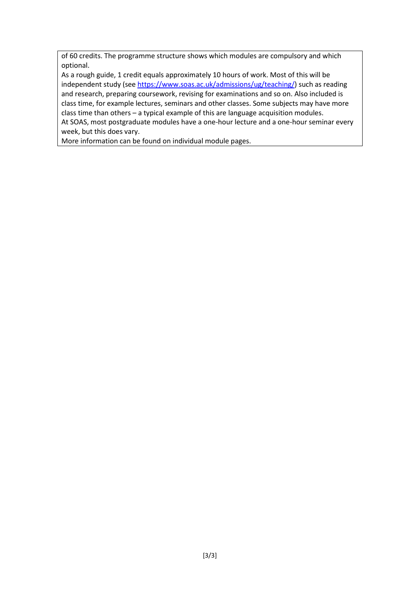of 60 credits. The programme structure shows which modules are compulsory and which optional.

As a rough guide, 1 credit equals approximately 10 hours of work. Most of this will be independent study (see [https://www.soas.ac.uk/admissions/ug/teaching/\)](https://www.soas.ac.uk/admissions/ug/teaching/) such as reading and research, preparing coursework, revising for examinations and so on. Also included is class time, for example lectures, seminars and other classes. Some subjects may have more class time than others – a typical example of this are language acquisition modules.

At SOAS, most postgraduate modules have a one-hour lecture and a one-hour seminar every week, but this does vary.

More information can be found on individual module pages.